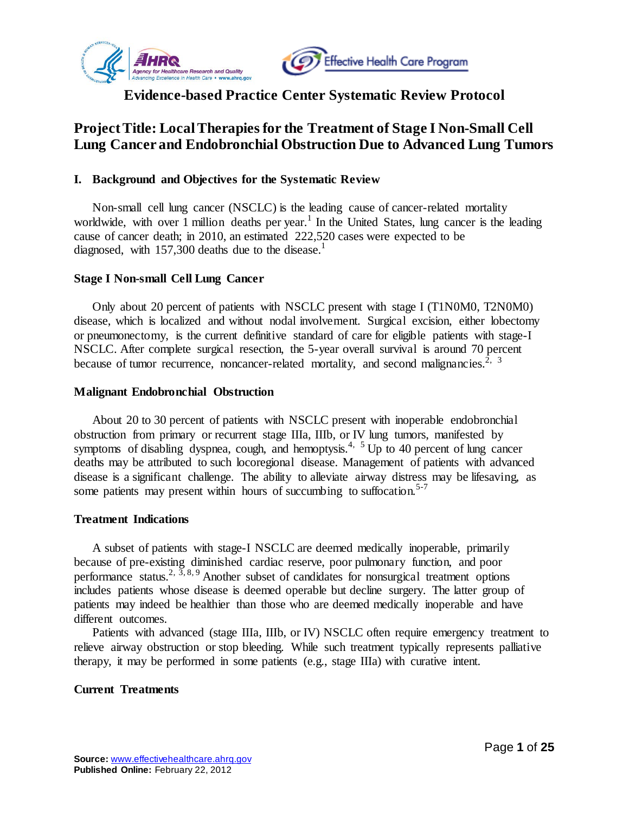



# **Evidence-based Practice Center Systematic Review Protocol**

# **Project Title: Local Therapiesfor the Treatment of Stage I Non-Small Cell Lung Cancer and Endobronchial Obstruction Due to Advanced Lung Tumors**

### **I. Background and Objectives for the Systematic Review**

Non-small cell lung cancer (NSCLC) is the leading cause of cancer-related mortality worldwide, with over  $1$  million deaths per year.<sup>1</sup> In the United States, lung cancer is the leading cause of cancer death; in 2010, an estimated 222,520 cases were expected to be diagnosed, with [1](#page-18-0)57,300 deaths due to the disease.<sup>1</sup>

#### **Stage I Non-small Cell Lung Cancer**

Only about 20 percent of patients with NSCLC present with stage I (T1N0M0, T2N0M0) disease, which is localized and without nodal involvement. Surgical excision, either lobectomy or pneumonectomy, is the current definitive standard of care for eligible patients with stage-I NSCLC. After complete surgical resection, the 5-year overall survival is around 70 percent because of tumor recurrence, noncancer-related mortality, and second malignancies.<sup>[2,](#page-18-1) [3](#page-18-2)</sup>

#### **Malignant Endobronchial Obstruction**

About 20 to 30 percent of patients with NSCLC present with inoperable endobronchial obstruction from primary or recurrent stage IIIa, IIIb, or IV lung tumors, manifested by symptoms of disabling dyspnea, cough, and hemoptysis.<sup>[4,](#page-18-3) [5](#page-18-4)</sup> Up to 40 percent of lung cancer deaths may be attributed to such locoregional disease. Management of patients with advanced disease is a significant challenge. The ability to alleviate airway distress may be lifesaving, as some patients may present within hours of succumbing to suffocation.<sup>[5-7](#page-18-4)</sup>

#### **Treatment Indications**

A subset of patients with stage-I NSCLC are deemed medically inoperable, primarily because of pre-existing diminished cardiac reserve, poor pulmonary function, and poor performance status.<sup>[2,](#page-18-1)  $\overline{3}$ , [8,](#page-18-5) [9](#page-18-6) Another subset of candidates for nonsurgical treatment options</sup> includes patients whose disease is deemed operable but decline surgery. The latter group of patients may indeed be healthier than those who are deemed medically inoperable and have different outcomes.

Patients with advanced (stage IIIa, IIIb, or IV) NSCLC often require emergency treatment to relieve airway obstruction or stop bleeding. While such treatment typically represents palliative therapy, it may be performed in some patients (e.g., stage IIIa) with curative intent.

### **Current Treatments**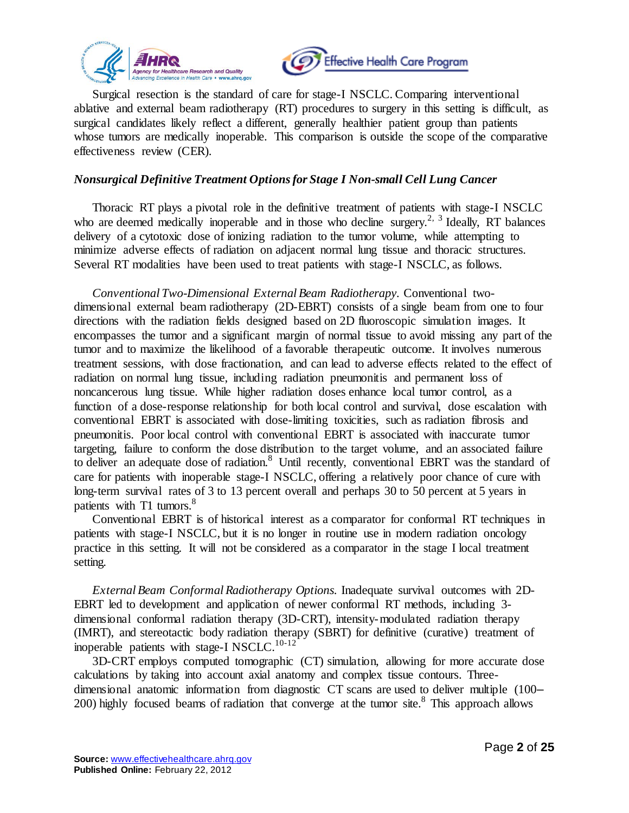



Surgical resection is the standard of care for stage-I NSCLC. Comparing interventional ablative and external beam radiotherapy (RT) procedures to surgery in this setting is difficult, as surgical candidates likely reflect a different, generally healthier patient group than patients whose tumors are medically inoperable. This comparison is outside the scope of the comparative effectiveness review (CER).

### *Nonsurgical Definitive Treatment Options for Stage I Non-small Cell Lung Cancer*

Thoracic RT plays a pivotal role in the definitive treatment of patients with stage-I NSCLC who are deemed medically inoperable and in those who decline surgery.<sup>[2,](#page-18-1) [3](#page-18-2)</sup> Ideally, RT balances delivery of a cytotoxic dose of ionizing radiation to the tumor volume, while attempting to minimize adverse effects of radiation on adjacent normal lung tissue and thoracic structures. Several RT modalities have been used to treat patients with stage-I NSCLC, as follows.

*Conventional Two-Dimensional External Beam Radiotherapy.* Conventional twodimensional external beam radiotherapy (2D-EBRT) consists of a single beam from one to four directions with the radiation fields designed based on 2D fluoroscopic simulation images. It encompasses the tumor and a significant margin of normal tissue to avoid missing any part of the tumor and to maximize the likelihood of a favorable therapeutic outcome. It involves numerous treatment sessions, with dose fractionation, and can lead to adverse effects related to the effect of radiation on normal lung tissue, including radiation pneumonitis and permanent loss of noncancerous lung tissue. While higher radiation doses enhance local tumor control, as a function of a dose-response relationship for both local control and survival, dose escalation with conventional EBRT is associated with dose-limiting toxicities, such as radiation fibrosis and pneumonitis. Poor local control with conventional EBRT is associated with inaccurate tumor targeting, failure to conform the dose distribution to the target volume, and an associated failure to deliver an adequate dose of radiation.<sup>[8](#page-18-5)</sup> Until recently, conventional EBRT was the standard of care for patients with inoperable stage-I NSCLC, offering a relatively poor chance of cure with long-term survival rates of 3 to 13 percent overall and perhaps 30 to 50 percent at 5 years in patients with T1 tumors.<sup>[8](#page-18-5)</sup>

Conventional EBRT is of historical interest as a comparator for conformal RT techniques in patients with stage-I NSCLC, but it is no longer in routine use in modern radiation oncology practice in this setting. It will not be considered as a comparator in the stage I local treatment setting.

*External Beam Conformal Radiotherapy Options.* Inadequate survival outcomes with 2D-EBRT led to development and application of newer conformal RT methods, including 3 dimensional conformal radiation therapy (3D-CRT), intensity-modulated radiation therapy (IMRT), and stereotactic body radiation therapy (SBRT) for definitive (curative) treatment of inoperable patients with stage-I NSCLC.<sup>[10-12](#page-18-7)</sup>

3D-CRT employs computed tomographic (CT) simulation, allowing for more accurate dose calculations by taking into account axial anatomy and complex tissue contours. Threedimensional anatomic information from diagnostic CT scans are used to deliver multiple (100– 200) highly focused beams of radiation that converge at the tumor site. $8$  This approach allows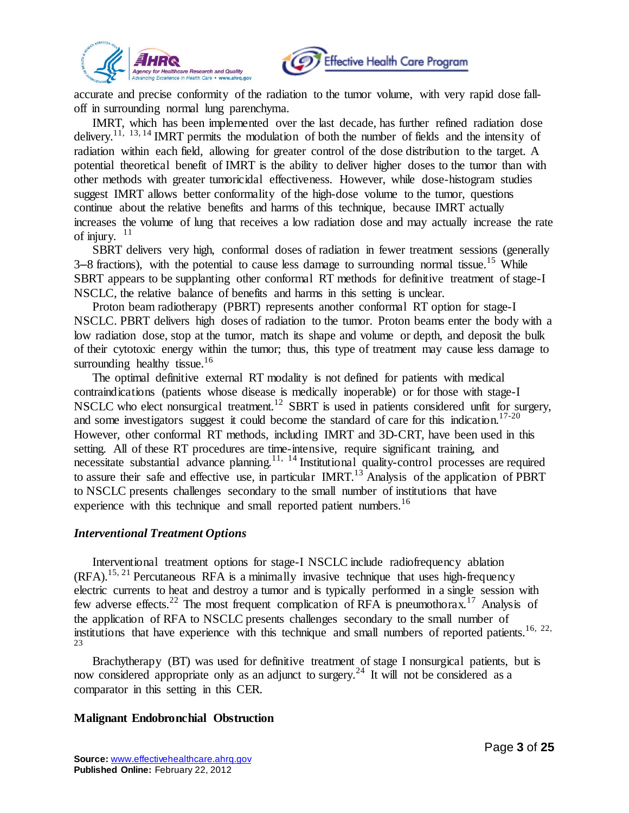



accurate and precise conformity of the radiation to the tumor volume, with very rapid dose falloff in surrounding normal lung parenchyma.

IMRT, which has been implemented over the last decade, has further refined radiation dose delivery.[11,](#page-18-8) [13,](#page-18-9) [14](#page-18-10) IMRT permits the modulation of both the number of fields and the intensity of radiation within each field, allowing for greater control of the dose distribution to the target. A potential theoretical benefit of IMRT is the ability to deliver higher doses to the tumor than with other methods with greater tumoricidal effectiveness. However, while dose-histogram studies suggest IMRT allows better conformality of the high-dose volume to the tumor, questions continue about the relative benefits and harms of this technique, because IMRT actually increases the volume of lung that receives a low radiation dose and may actually increase the rate of injury.  $11$ 

SBRT delivers very high, conformal doses of radiation in fewer treatment sessions (generally  $3-8$  fractions), with the potential to cause less damage to surrounding normal tissue.<sup>[15](#page-19-0)</sup> While SBRT appears to be supplanting other conformal RT methods for definitive treatment of stage-I NSCLC, the relative balance of benefits and harms in this setting is unclear.

Proton beam radiotherapy (PBRT) represents another conformal RT option for stage-I NSCLC. PBRT delivers high doses of radiation to the tumor. Proton beams enter the body with a low radiation dose, stop at the tumor, match its shape and volume or depth, and deposit the bulk of their cytotoxic energy within the tumor; thus, this type of treatment may cause less damage to surrounding healthy tissue. $16$ 

The optimal definitive external RT modality is not defined for patients with medical contraindications (patients whose disease is medically inoperable) or for those with stage-I NSCLC who elect nonsurgical treatment.<sup>[12](#page-18-11)</sup> SBRT is used in patients considered unfit for surgery, and some investigators suggest it could become the standard of care for this indication.<sup>[17-20](#page-19-2)</sup> However, other conformal RT methods, including IMRT and 3D-CRT, have been used in this setting. All of these RT procedures are time-intensive, require significant training, and necessitate substantial advance planning.<sup>[11,](#page-18-8) [14](#page-18-10)</sup> Institutional quality-control processes are required to assure their safe and effective use, in particular IMRT.<sup>[13](#page-18-9)</sup> Analysis of the application of PBRT to NSCLC presents challenges secondary to the small number of institutions that have experience with this technique and small reported patient numbers.<sup>[16](#page-19-1)</sup>

#### *Interventional Treatment Options*

Interventional treatment options for stage-I NSCLC include radiofrequency ablation  $(RFA)$ .<sup>[15,](#page-19-0) [21](#page-19-3)</sup> Percutaneous RFA is a minimally invasive technique that uses high-frequency electric currents to heat and destroy a tumor and is typically performed in a single session with few adverse effects.<sup>[22](#page-19-4)</sup> The most frequent complication of RFA is pneumothorax.<sup>[17](#page-19-2)</sup> Analysis of the application of RFA to NSCLC presents challenges secondary to the small number of institutions that have experience with this technique and small numbers of reported patients.<sup>[16,](#page-19-1) [22,](#page-19-4)</sup> [23](#page-19-5)

Brachytherapy (BT) was used for definitive treatment of stage I nonsurgical patients, but is now considered appropriate only as an adjunct to surgery.<sup>[24](#page-19-6)</sup> It will not be considered as a comparator in this setting in this CER.

#### **Malignant Endobronchial Obstruction**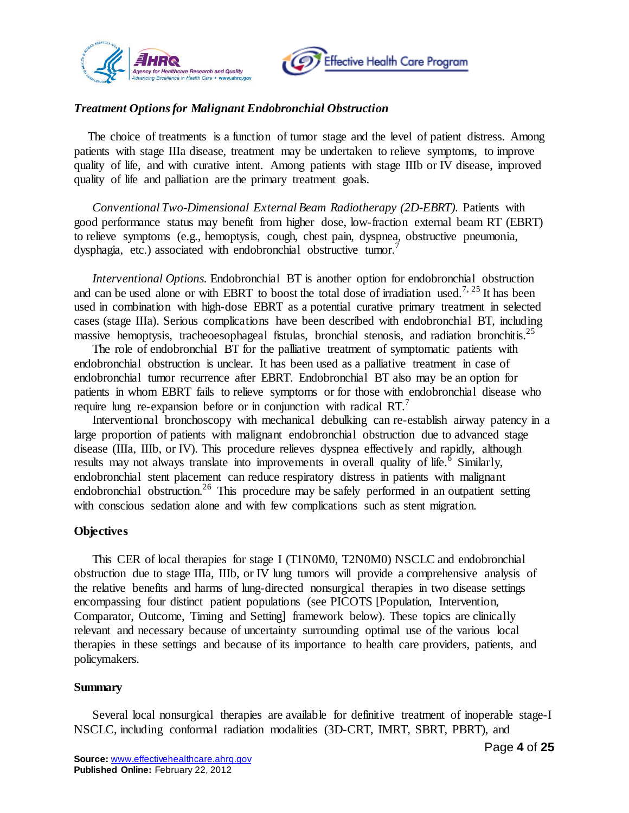



# *Treatment Options for Malignant Endobronchial Obstruction*

The choice of treatments is a function of tumor stage and the level of patient distress. Among patients with stage IIIa disease, treatment may be undertaken to relieve symptoms, to improve quality of life, and with curative intent. Among patients with stage IIIb or IV disease, improved quality of life and palliation are the primary treatment goals.

*Conventional Two-Dimensional External Beam Radiotherapy (2D-EBRT).* Patients with good performance status may benefit from higher dose, low-fraction external beam RT (EBRT) to relieve symptoms (e.g., hemoptysis, cough, chest pain, dyspnea, obstructive pneumonia, dysphagia, etc.) associated with endobronchial obstructive tumor.

*Interventional Options.* Endobronchial BT is another option for endobronchial obstruction and can be used alone or with EBRT to boost the total dose of irradiation used.<sup>[7,](#page-18-12) [25](#page-19-7)</sup> It has been used in combination with high-dose EBRT as a potential curative primary treatment in selected cases (stage IIIa). Serious complications have been described with endobronchial BT, including massive hemoptysis, tracheoesophageal fistulas, bronchial stenosis, and radiation bronchitis.<sup>[25](#page-19-7)</sup>

The role of endobronchial BT for the palliative treatment of symptomatic patients with endobronchial obstruction is unclear. It has been used as a palliative treatment in case of endobronchial tumor recurrence after EBRT. Endobronchial BT also may be an option for patients in whom EBRT fails to relieve symptoms or for those with endobronchial disease who require lung re-expansion before or in conjunction with radical RT.<sup>[7](#page-18-12)</sup>

Interventional bronchoscopy with mechanical debulking can re-establish airway patency in a large proportion of patients with malignant endobronchial obstruction due to advanced stage disease (IIIa, IIIb, or IV). This procedure relieves dyspnea effectively and rapidly, although results may not always translate into improvements in overall quality of life.<sup>[6](#page-18-13)</sup> Similarly, endobronchial stent placement can reduce respiratory distress in patients with malignant endobronchial obstruction.<sup>[26](#page-19-8)</sup> This procedure may be safely performed in an outpatient setting with conscious sedation alone and with few complications such as stent migration.

#### **Objectives**

This CER of local therapies for stage I (T1N0M0, T2N0M0) NSCLC and endobronchial obstruction due to stage IIIa, IIIb, or IV lung tumors will provide a comprehensive analysis of the relative benefits and harms of lung-directed nonsurgical therapies in two disease settings encompassing four distinct patient populations (see PICOTS [Population, Intervention, Comparator, Outcome, Timing and Setting] framework below). These topics are clinically relevant and necessary because of uncertainty surrounding optimal use of the various local therapies in these settings and because of its importance to health care providers, patients, and policymakers.

#### **Summary**

Several local nonsurgical therapies are available for definitive treatment of inoperable stage-I NSCLC, including conformal radiation modalities (3D-CRT, IMRT, SBRT, PBRT), and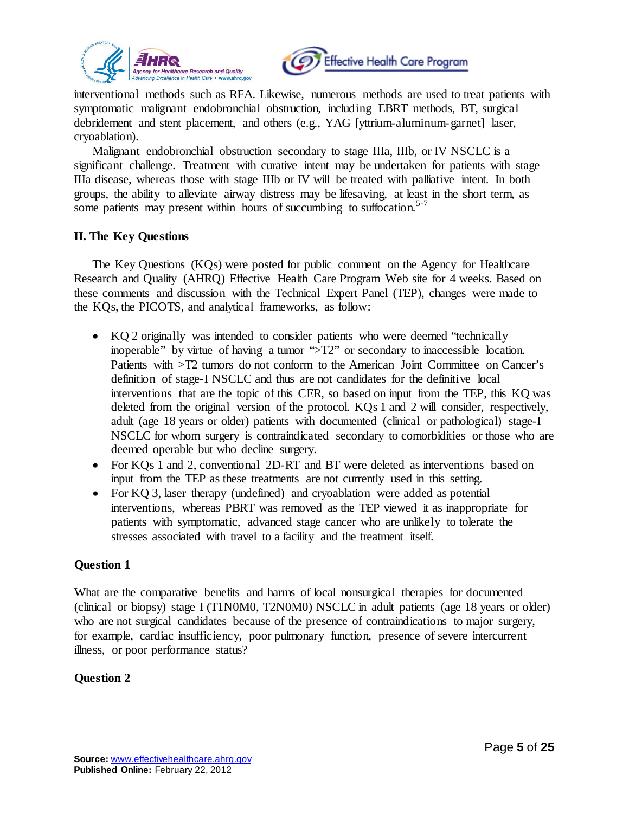



interventional methods such as RFA. Likewise, numerous methods are used to treat patients with symptomatic malignant endobronchial obstruction, including EBRT methods, BT, surgical debridement and stent placement, and others (e.g., YAG [yttrium-aluminum-garnet] laser, cryoablation).

Malignant endobronchial obstruction secondary to stage IIIa, IIIb, or IV NSCLC is a significant challenge. Treatment with curative intent may be undertaken for patients with stage IIIa disease, whereas those with stage IIIb or IV will be treated with palliative intent. In both groups, the ability to alleviate airway distress may be lifesaving, at least in the short term, as some patients may present within hours of succumbing to suffocation.<sup>[5-7](#page-18-4)</sup>

### **II. The Key Questions**

The Key Questions (KQs) were posted for public comment on the Agency for Healthcare Research and Quality (AHRQ) Effective Health Care Program Web site for 4 weeks. Based on these comments and discussion with the Technical Expert Panel (TEP), changes were made to the KQs, the PICOTS, and analytical frameworks, as follow:

- KQ 2 originally was intended to consider patients who were deemed "technically inoperable" by virtue of having a tumor ">T2" or secondary to inaccessible location. Patients with >T2 tumors do not conform to the American Joint Committee on Cancer's definition of stage-I NSCLC and thus are not candidates for the definitive local interventions that are the topic of this CER, so based on input from the TEP, this KQ was deleted from the original version of the protocol. KQs 1 and 2 will consider, respectively, adult (age 18 years or older) patients with documented (clinical or pathological) stage-I NSCLC for whom surgery is contraindicated secondary to comorbidities or those who are deemed operable but who decline surgery.
- For KQs 1 and 2, conventional 2D-RT and BT were deleted as interventions based on input from the TEP as these treatments are not currently used in this setting.
- For KQ 3, laser therapy (undefined) and cryoablation were added as potential interventions, whereas PBRT was removed as the TEP viewed it as inappropriate for patients with symptomatic, advanced stage cancer who are unlikely to tolerate the stresses associated with travel to a facility and the treatment itself.

### **Question 1**

What are the comparative benefits and harms of local nonsurgical therapies for documented (clinical or biopsy) stage I (T1N0M0, T2N0M0) NSCLC in adult patients (age 18 years or older) who are not surgical candidates because of the presence of contraindications to major surgery, for example, cardiac insufficiency, poor pulmonary function, presence of severe intercurrent illness, or poor performance status?

# **Question 2**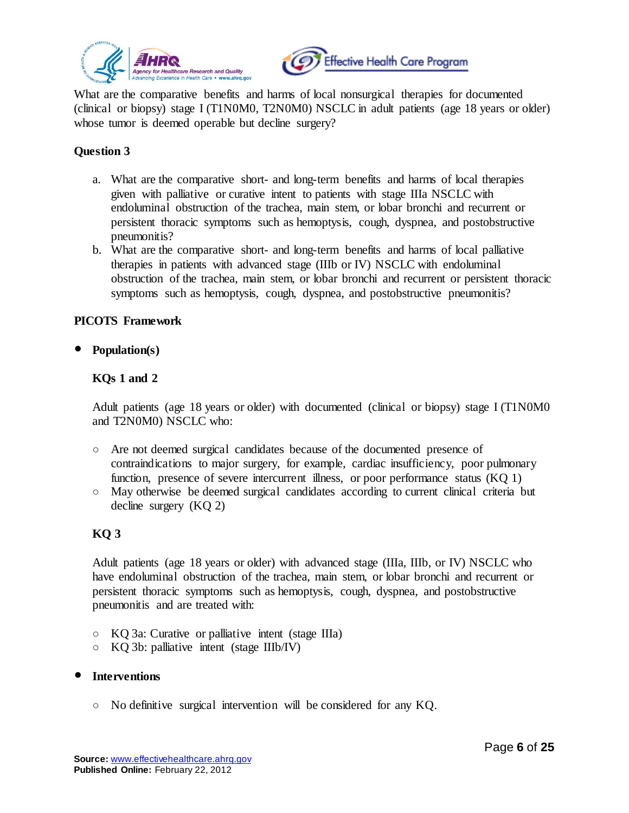



What are the comparative benefits and harms of local nonsurgical therapies for documented (clinical or biopsy) stage I (T1N0M0, T2N0M0) NSCLC in adult patients (age 18 years or older) whose tumor is deemed operable but decline surgery?

# **Question 3**

- a. What are the comparative short- and long-term benefits and harms of local therapies given with palliative or curative intent to patients with stage IIIa NSCLC with endoluminal obstruction of the trachea, main stem, or lobar bronchi and recurrent or persistent thoracic symptoms such as hemoptysis, cough, dyspnea, and postobstructive pneumonitis?
- b. What are the comparative short- and long-term benefits and harms of local palliative therapies in patients with advanced stage (IIIb or IV) NSCLC with endoluminal obstruction of the trachea, main stem, or lobar bronchi and recurrent or persistent thoracic symptoms such as hemoptysis, cough, dyspnea, and postobstructive pneumonitis?

### **PICOTS Framework**

**Population(s)**

# **KQs 1 and 2**

Adult patients (age 18 years or older) with documented (clinical or biopsy) stage I (T1N0M0 and T2N0M0) NSCLC who:

- Are not deemed surgical candidates because of the documented presence of contraindications to major surgery, for example, cardiac insufficiency, poor pulmonary function, presence of severe intercurrent illness, or poor performance status (KQ 1)
- May otherwise be deemed surgical candidates according to current clinical criteria but decline surgery (KQ 2)

# **KQ 3**

Adult patients (age 18 years or older) with advanced stage (IIIa, IIIb, or IV) NSCLC who have endoluminal obstruction of the trachea, main stem, or lobar bronchi and recurrent or persistent thoracic symptoms such as hemoptysis, cough, dyspnea, and postobstructive pneumonitis and are treated with:

- KQ 3a: Curative or palliative intent (stage IIIa)
- KQ 3b: palliative intent (stage IIIb/IV)

### **Interventions**

○ No definitive surgical intervention will be considered for any KQ.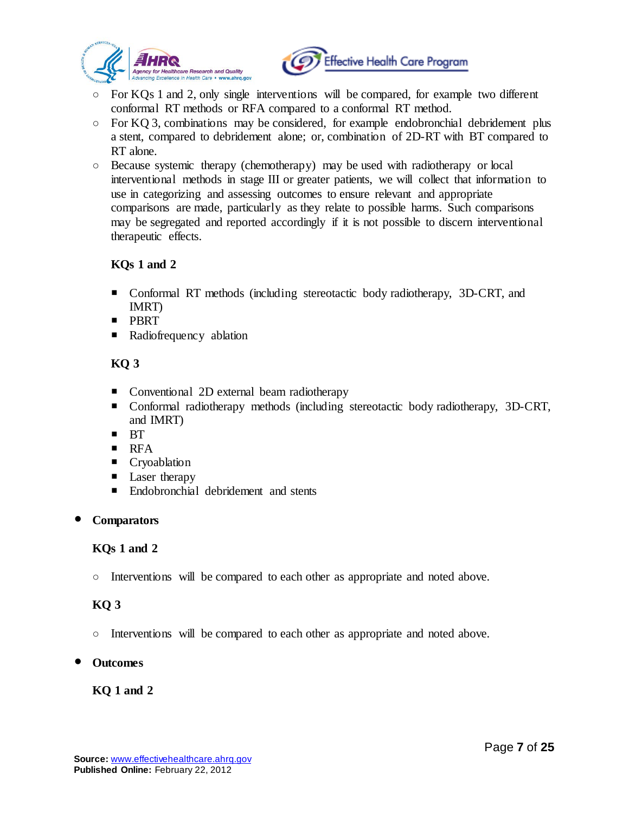



- $\circ$  For KQs 1 and 2, only single interventions will be compared, for example two different conformal RT methods or RFA compared to a conformal RT method.
- $\circ$  For KQ 3, combinations may be considered, for example endobronchial debridement plus a stent, compared to debridement alone; or, combination of 2D-RT with BT compared to RT alone.
- Because systemic therapy (chemotherapy) may be used with radiotherapy or local interventional methods in stage III or greater patients, we will collect that information to use in categorizing and assessing outcomes to ensure relevant and appropriate comparisons are made, particularly as they relate to possible harms. Such comparisons may be segregated and reported accordingly if it is not possible to discern interventional therapeutic effects.

# **KQs 1 and 2**

- Conformal RT methods (including stereotactic body radiotherapy, 3D-CRT, and IMRT)
- **PBRT**
- **Radiofrequency ablation**

# **KQ 3**

- Conventional 2D external beam radiotherapy
- Conformal radiotherapy methods (including stereotactic body radiotherapy, 3D-CRT, and IMRT)
- $\blacksquare$  BT
- $\blacksquare$  RFA
- **Cryoablation**
- Laser therapy
- Endobronchial debridement and stents

# **Comparators**

# **KQs 1 and 2**

○ Interventions will be compared to each other as appropriate and noted above.

# **KQ 3**

- Interventions will be compared to each other as appropriate and noted above.
- **Outcomes**

### **KQ 1 and 2**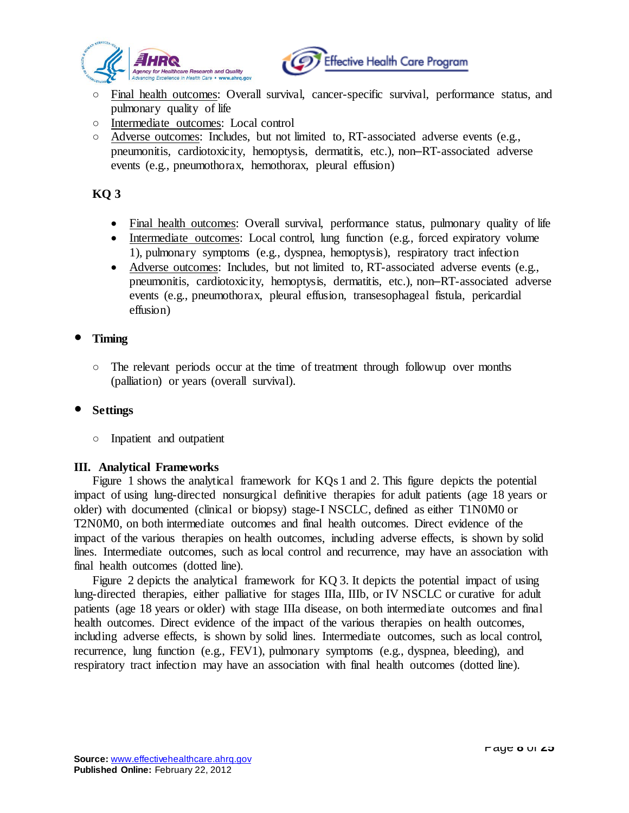



- Final health outcomes: Overall survival, cancer-specific survival, performance status, and pulmonary quality of life
- Intermediate outcomes: Local control
- $\circ$  Adverse outcomes: Includes, but not limited to, RT-associated adverse events (e.g., pneumonitis, cardiotoxicity, hemoptysis, dermatitis, etc.), non–RT-associated adverse events (e.g., pneumothorax, hemothorax, pleural effusion)

# **KQ 3**

- Final health outcomes: Overall survival, performance status, pulmonary quality of life
- Intermediate outcomes: Local control, lung function (e.g., forced expiratory volume 1), pulmonary symptoms (e.g., dyspnea, hemoptysis), respiratory tract infection
- Adverse outcomes: Includes, but not limited to, RT-associated adverse events (e.g., pneumonitis, cardiotoxicity, hemoptysis, dermatitis, etc.), non–RT-associated adverse events (e.g., pneumothorax, pleural effusion, transesophageal fistula, pericardial effusion)

### **Timing**

○ The relevant periods occur at the time of treatment through followup over months (palliation) or years (overall survival).

### **Settings**

○ Inpatient and outpatient

### **III. Analytical Frameworks**

Figure 1 shows the analytical framework for KQs 1 and 2. This figure depicts the potential impact of using lung-directed nonsurgical definitive therapies for adult patients (age 18 years or older) with documented (clinical or biopsy) stage-I NSCLC, defined as either T1N0M0 or T2N0M0, on both intermediate outcomes and final health outcomes. Direct evidence of the impact of the various therapies on health outcomes, including adverse effects, is shown by solid lines. Intermediate outcomes, such as local control and recurrence, may have an association with final health outcomes (dotted line).

Figure 2 depicts the analytical framework for KQ 3. It depicts the potential impact of using lung-directed therapies, either palliative for stages IIIa, IIIb, or IV NSCLC or curative for adult patients (age 18 years or older) with stage IIIa disease, on both intermediate outcomes and final health outcomes. Direct evidence of the impact of the various therapies on health outcomes, including adverse effects, is shown by solid lines. Intermediate outcomes, such as local control, recurrence, lung function (e.g., FEV1), pulmonary symptoms (e.g., dyspnea, bleeding), and respiratory tract infection may have an association with final health outcomes (dotted line).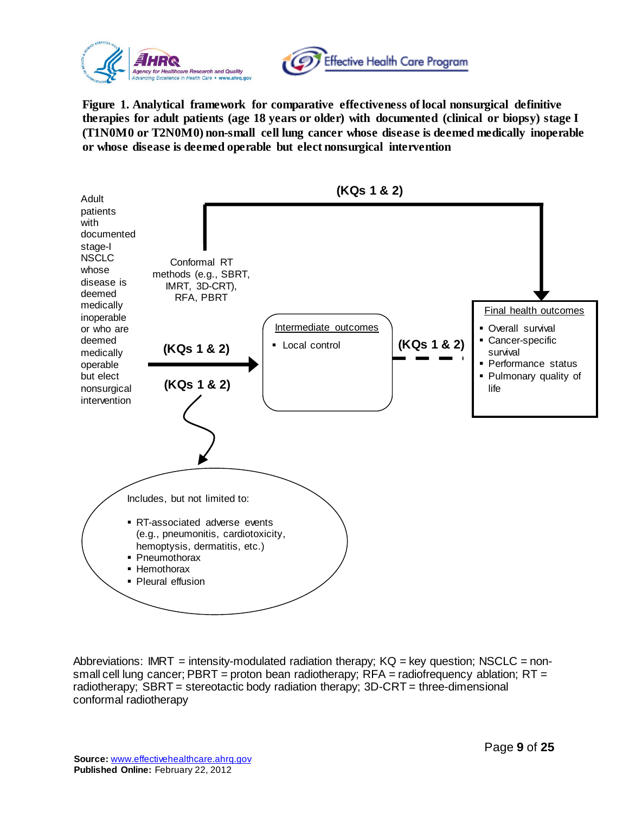



**Figure 1. Analytical framework for comparative effectiveness of local nonsurgical definitive therapies for adult patients (age 18 years or older) with documented (clinical or biopsy) stage I (T1N0M0 or T2N0M0) non-small cell lung cancer whose disease is deemed medically inoperable or whose disease is deemed operable but elect nonsurgical intervention**



Abbreviations: IMRT = intensity-modulated radiation therapy;  $KQ = \text{key}$  question; NSCLC = nonsmall cell lung cancer; PBRT = proton bean radiotherapy;  $RFA =$  radiofrequency ablation;  $RT =$ radiotherapy; SBRT = stereotactic body radiation therapy; 3D-CRT = three-dimensional conformal radiotherapy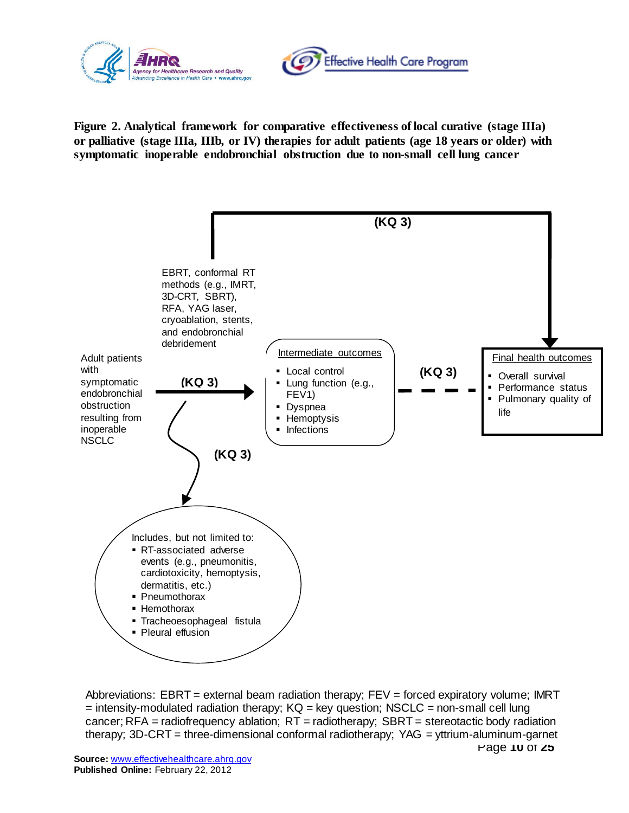



**Figure 2. Analytical framework for comparative effectiveness of local curative (stage IIIa) or palliative (stage IIIa, IIIb, or IV) therapies for adult patients (age 18 years or older) with symptomatic inoperable endobronchial obstruction due to non-small cell lung cancer**



Page **10** of **25** Abbreviations: EBRT = external beam radiation therapy; FEV = forced expiratory volume; IMRT  $=$  intensity-modulated radiation therapy;  $KQ = \text{key}$  question; NSCLC  $=$  non-small cell lung cancer;  $RFA =$  radiofrequency ablation;  $RT =$  radiotherapy;  $SBRT =$  stereotactic body radiation therapy; 3D-CRT = three-dimensional conformal radiotherapy; YAG = yttrium-aluminum-garnet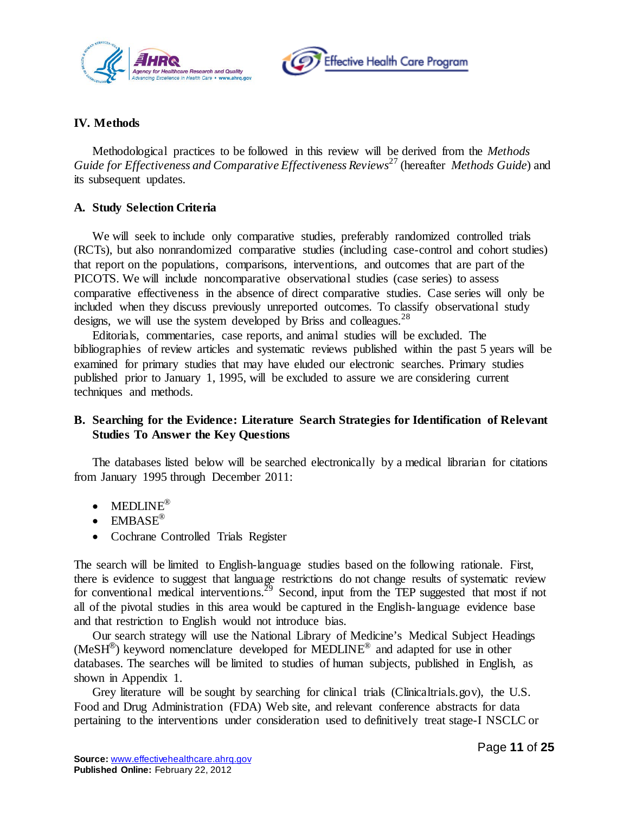



### **IV. Methods**

Methodological practices to be followed in this review will be derived from the *Methods Guide for Effectiveness and Comparative Effectiveness Reviews*[27](#page-19-9) (hereafter *Methods Guide*) and its subsequent updates.

#### **A. Study Selection Criteria**

We will seek to include only comparative studies, preferably randomized controlled trials (RCTs), but also nonrandomized comparative studies (including case-control and cohort studies) that report on the populations, comparisons, interventions, and outcomes that are part of the PICOTS. We will include noncomparative observational studies (case series) to assess comparative effectiveness in the absence of direct comparative studies. Case series will only be included when they discuss previously unreported outcomes. To classify observational study designs, we will use the system developed by Briss and colleagues.<sup>[28](#page-20-0)</sup>

Editorials, commentaries, case reports, and animal studies will be excluded. The bibliographies of review articles and systematic reviews published within the past 5 years will be examined for primary studies that may have eluded our electronic searches. Primary studies published prior to January 1, 1995, will be excluded to assure we are considering current techniques and methods.

### **B. Searching for the Evidence: Literature Search Strategies for Identification of Relevant Studies To Answer the Key Questions**

The databases listed below will be searched electronically by a medical librarian for citations from January 1995 through December 2011:

- MEDLINE®
- $\bullet$  EMBASE®
- Cochrane Controlled Trials Register

The search will be limited to English-language studies based on the following rationale. First, there is evidence to suggest that language restrictions do not change results of systematic review for conventional medical interventions.<sup>[29](#page-20-1)</sup> Second, input from the TEP suggested that most if not all of the pivotal studies in this area would be captured in the English-language evidence base and that restriction to English would not introduce bias.

Our search strategy will use the National Library of Medicine's Medical Subject Headings (MeSH®) keyword nomenclature developed for MEDLINE® and adapted for use in other databases. The searches will be limited to studies of human subjects, published in English, as shown in Appendix 1.

Grey literature will be sought by searching for clinical trials (Clinicaltrials.gov), the U.S. Food and Drug Administration (FDA) Web site, and relevant conference abstracts for data pertaining to the interventions under consideration used to definitively treat stage-I NSCLC or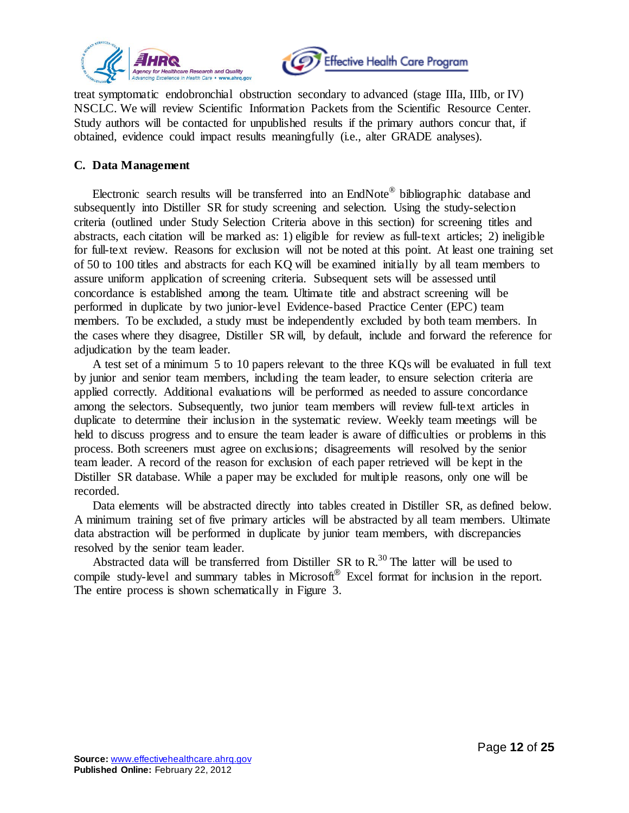



treat symptomatic endobronchial obstruction secondary to advanced (stage IIIa, IIIb, or IV) NSCLC. We will review Scientific Information Packets from the Scientific Resource Center. Study authors will be contacted for unpublished results if the primary authors concur that, if obtained, evidence could impact results meaningfully (i.e., alter GRADE analyses).

#### **C. Data Management**

Electronic search results will be transferred into an EndNote<sup>®</sup> bibliographic database and subsequently into Distiller SR for study screening and selection. Using the study-selection criteria (outlined under Study Selection Criteria above in this section) for screening titles and abstracts, each citation will be marked as: 1) eligible for review as full-text articles; 2) ineligible for full-text review. Reasons for exclusion will not be noted at this point. At least one training set of 50 to 100 titles and abstracts for each KQ will be examined initially by all team members to assure uniform application of screening criteria. Subsequent sets will be assessed until concordance is established among the team. Ultimate title and abstract screening will be performed in duplicate by two junior-level Evidence-based Practice Center (EPC) team members. To be excluded, a study must be independently excluded by both team members. In the cases where they disagree, Distiller SR will, by default, include and forward the reference for adjudication by the team leader.

A test set of a minimum 5 to 10 papers relevant to the three KQs will be evaluated in full text by junior and senior team members, including the team leader, to ensure selection criteria are applied correctly. Additional evaluations will be performed as needed to assure concordance among the selectors. Subsequently, two junior team members will review full-text articles in duplicate to determine their inclusion in the systematic review. Weekly team meetings will be held to discuss progress and to ensure the team leader is aware of difficulties or problems in this process. Both screeners must agree on exclusions; disagreements will resolved by the senior team leader. A record of the reason for exclusion of each paper retrieved will be kept in the Distiller SR database. While a paper may be excluded for multiple reasons, only one will be recorded.

Data elements will be abstracted directly into tables created in Distiller SR, as defined below. A minimum training set of five primary articles will be abstracted by all team members. Ultimate data abstraction will be performed in duplicate by junior team members, with discrepancies resolved by the senior team leader.

Abstracted data will be transferred from Distiller SR to R.<sup>30</sup> The latter will be used to compile study-level and summary tables in Microsoft<sup>®</sup> Excel format for inclusion in the report. The entire process is shown schematically in Figure 3.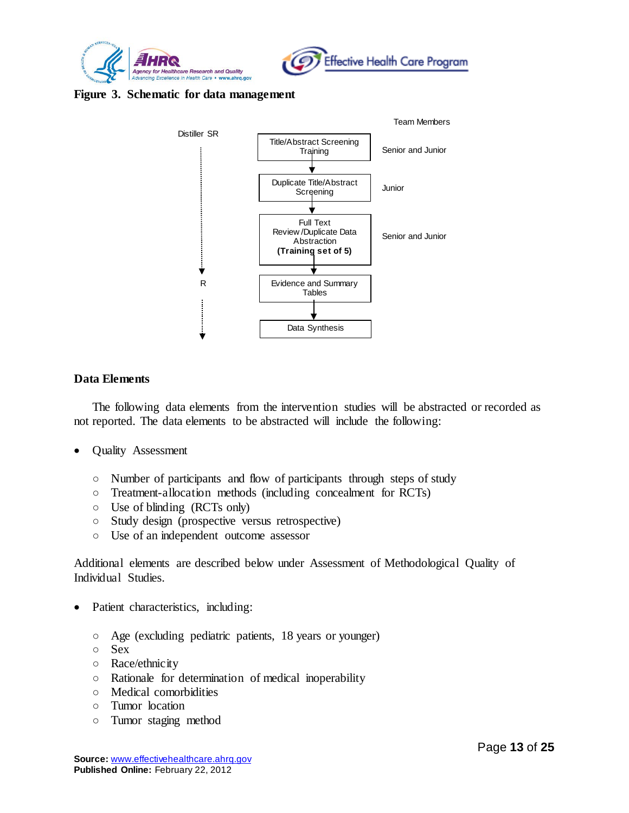



#### **Figure 3. Schematic for data management**



#### **Data Elements**

The following data elements from the intervention studies will be abstracted or recorded as not reported. The data elements to be abstracted will include the following:

- Quality Assessment
	- Number of participants and flow of participants through steps of study
	- Treatment-allocation methods (including concealment for RCTs)
	- Use of blinding (RCTs only)
	- Study design (prospective versus retrospective)
	- Use of an independent outcome assessor

Additional elements are described below under Assessment of Methodological Quality of Individual Studies.

- Patient characteristics, including:
	- Age (excluding pediatric patients, 18 years or younger)
	- Sex
	- Race/ethnicity
	- Rationale for determination of medical inoperability
	- Medical comorbidities
	- Tumor location
	- Tumor staging method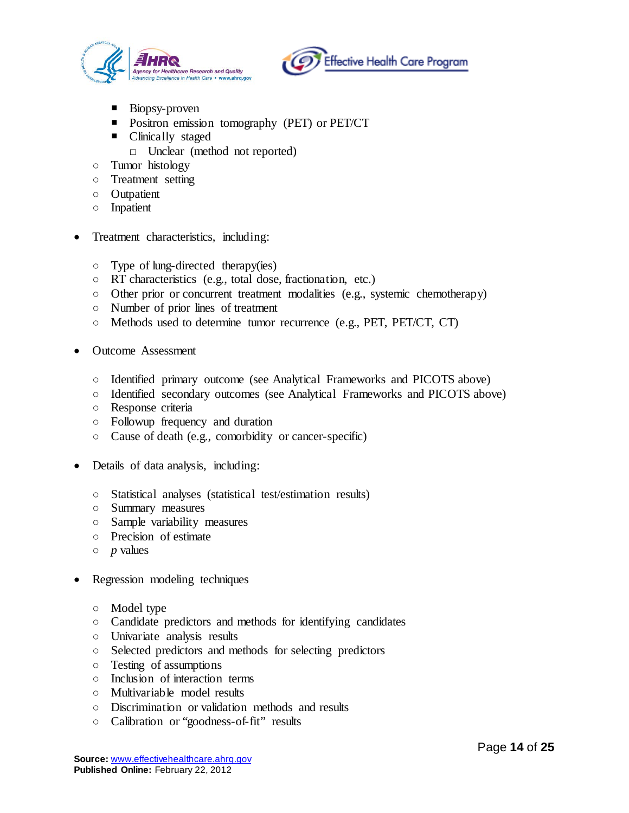



- Biopsy-proven
- **Positron emission tomography (PET) or PET/CT**
- Clinically staged
	- □ Unclear (method not reported)
- Tumor histology
- Treatment setting
- Outpatient
- Inpatient
- Treatment characteristics, including:
	- Type of lung-directed therapy(ies)
	- RT characteristics (e.g., total dose, fractionation, etc.)
	- Other prior or concurrent treatment modalities (e.g., systemic chemotherapy)
	- Number of prior lines of treatment
	- Methods used to determine tumor recurrence (e.g., PET, PET/CT, CT)
- Outcome Assessment
	- Identified primary outcome (see Analytical Frameworks and PICOTS above)
	- Identified secondary outcomes (see Analytical Frameworks and PICOTS above)
	- Response criteria
	- Followup frequency and duration
	- Cause of death (e.g., comorbidity or cancer-specific)
- Details of data analysis, including:
	- Statistical analyses (statistical test/estimation results)
	- Summary measures
	- Sample variability measures
	- Precision of estimate
	- *p* values
- Regression modeling techniques
	- Model type
	- Candidate predictors and methods for identifying candidates
	- Univariate analysis results
	- Selected predictors and methods for selecting predictors
	- Testing of assumptions
	- Inclusion of interaction terms
	- Multivariable model results
	- Discrimination or validation methods and results
	- Calibration or "goodness-of-fit" results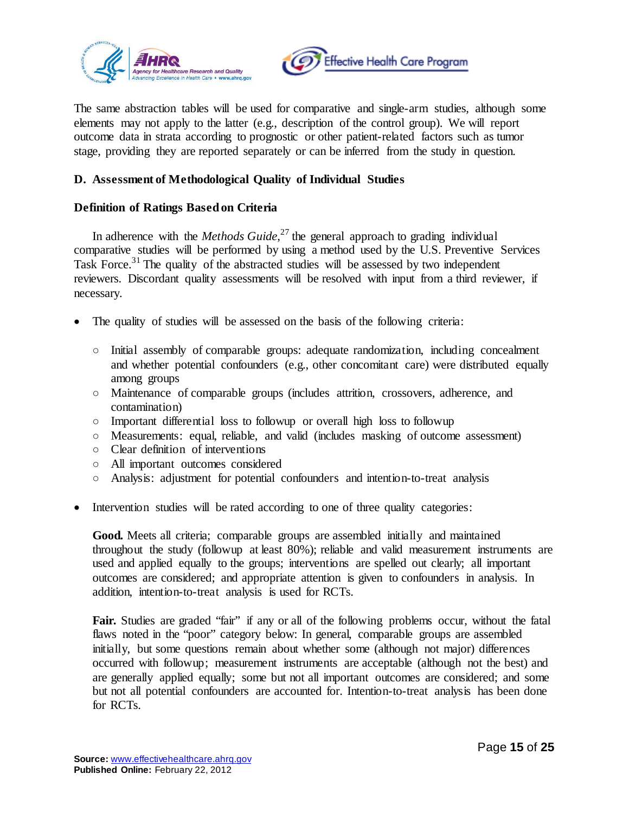



The same abstraction tables will be used for comparative and single-arm studies, although some elements may not apply to the latter (e.g., description of the control group). We will report outcome data in strata according to prognostic or other patient-related factors such as tumor stage, providing they are reported separately or can be inferred from the study in question.

### **D. Assessment of Methodological Quality of Individual Studies**

### **Definition of Ratings Based on Criteria**

In adherence with the *Methods Guide*, [27](#page-19-9) the general approach to grading individual comparative studies will be performed by using a method used by the U.S. Preventive Services Task Force.<sup>[31](#page-20-3)</sup> The quality of the abstracted studies will be assessed by two independent reviewers. Discordant quality assessments will be resolved with input from a third reviewer, if necessary.

- The quality of studies will be assessed on the basis of the following criteria:
	- Initial assembly of comparable groups: adequate randomization, including concealment and whether potential confounders (e.g., other concomitant care) were distributed equally among groups
	- Maintenance of comparable groups (includes attrition, crossovers, adherence, and contamination)
	- Important differential loss to followup or overall high loss to followup
	- Measurements: equal, reliable, and valid (includes masking of outcome assessment)
	- Clear definition of interventions
	- All important outcomes considered
	- Analysis: adjustment for potential confounders and intention-to-treat analysis
- Intervention studies will be rated according to one of three quality categories:

**Good.** Meets all criteria; comparable groups are assembled initially and maintained throughout the study (followup at least 80%); reliable and valid measurement instruments are used and applied equally to the groups; interventions are spelled out clearly; all important outcomes are considered; and appropriate attention is given to confounders in analysis. In addition, intention-to-treat analysis is used for RCTs.

Fair. Studies are graded "fair" if any or all of the following problems occur, without the fatal flaws noted in the "poor" category below: In general, comparable groups are assembled initially, but some questions remain about whether some (although not major) differences occurred with followup; measurement instruments are acceptable (although not the best) and are generally applied equally; some but not all important outcomes are considered; and some but not all potential confounders are accounted for. Intention-to-treat analysis has been done for RCTs.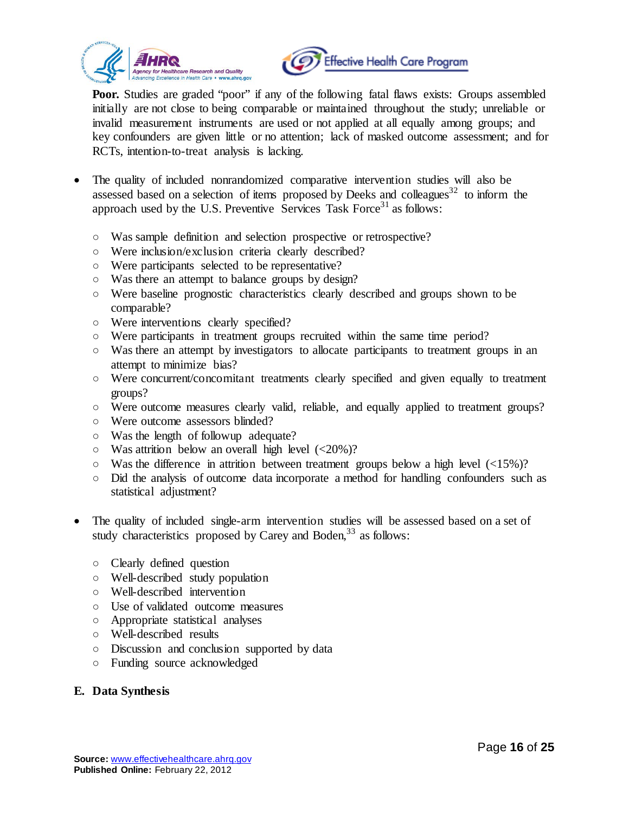



**Poor.** Studies are graded "poor" if any of the following fatal flaws exists: Groups assembled initially are not close to being comparable or maintained throughout the study; unreliable or invalid measurement instruments are used or not applied at all equally among groups; and key confounders are given little or no attention; lack of masked outcome assessment; and for RCTs, intention-to-treat analysis is lacking.

- The quality of included nonrandomized comparative intervention studies will also be assessed based on a selection of items proposed by Deeks and colleagues<sup>[32](#page-20-4)</sup> to inform the approach used by the U.S. Preventive Services Task Force<sup>31</sup> as follows:
	- Was sample definition and selection prospective or retrospective?
	- Were inclusion/exclusion criteria clearly described?
	- Were participants selected to be representative?
	- Was there an attempt to balance groups by design?
	- Were baseline prognostic characteristics clearly described and groups shown to be comparable?
	- Were interventions clearly specified?
	- Were participants in treatment groups recruited within the same time period?
	- Was there an attempt by investigators to allocate participants to treatment groups in an attempt to minimize bias?
	- Were concurrent/concomitant treatments clearly specified and given equally to treatment groups?
	- Were outcome measures clearly valid, reliable, and equally applied to treatment groups?
	- Were outcome assessors blinded?
	- Was the length of followup adequate?
	- $\circ$  Was attrition below an overall high level (<20%)?
	- $\circ$  Was the difference in attrition between treatment groups below a high level ( $\langle 15\% \rangle$ ?
	- Did the analysis of outcome data incorporate a method for handling confounders such as statistical adjustment?
- The quality of included single-arm intervention studies will be assessed based on a set of study characteristics proposed by Carey and Boden,  $33$  as follows:
	- Clearly defined question
	- Well-described study population
	- Well-described intervention
	- Use of validated outcome measures
	- Appropriate statistical analyses
	- Well-described results
	- Discussion and conclusion supported by data
	- Funding source acknowledged

# **E. Data Synthesis**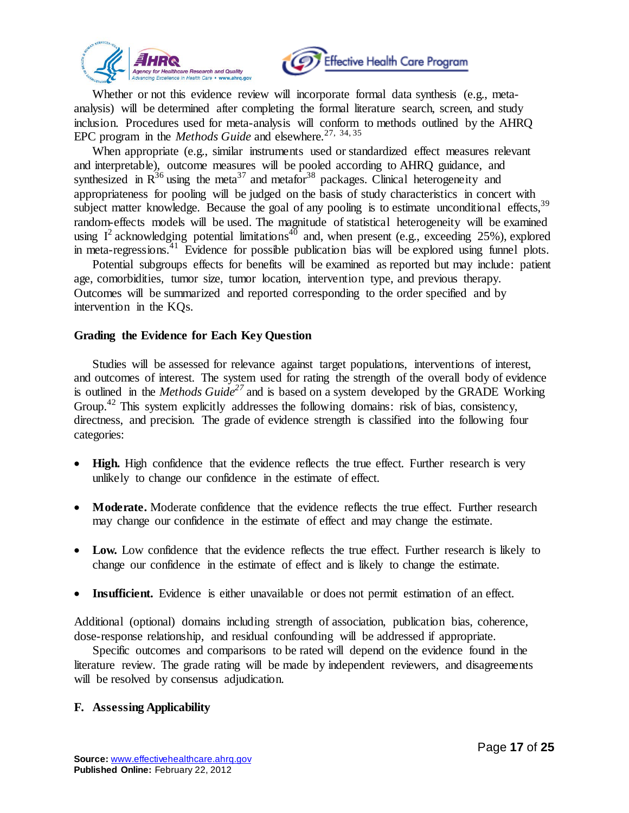



Whether or not this evidence review will incorporate formal data synthesis (e.g., metaanalysis) will be determined after completing the formal literature search, screen, and study inclusion. Procedures used for meta-analysis will conform to methods outlined by the AHRQ EPC program in the *Methods Guide* and elsewhere*.* [27,](#page-19-9) [34](#page-20-6)[, 35](#page-20-7) 

When appropriate (e.g., similar instruments used or standardized effect measures relevant and interpretable), outcome measures will be pooled according to AHRQ guidance, and synthesized in  $R^{36}$  using the meta<sup>37</sup> and metafor<sup>[38](#page-20-10)</sup> packages. Clinical heterogeneity and appropriateness for pooling will be judged on the basis of study characteristics in concert with subject matter knowledge. Because the goal of any pooling is to estimate unconditional effects,<sup>[39](#page-20-11)</sup> random-effects models will be used. The magnitude of statistical heterogeneity will be examined using  $I^2$  acknowledging potential limitations<sup>[40](#page-20-12)</sup> and, when present (e.g., exceeding 25%), explored in meta-regressions.<sup>[41](#page-20-13)</sup> Evidence for possible publication bias will be explored using funnel plots.

Potential subgroups effects for benefits will be examined as reported but may include: patient age, comorbidities, tumor size, tumor location, intervention type, and previous therapy. Outcomes will be summarized and reported corresponding to the order specified and by intervention in the KQs.

### **Grading the Evidence for Each Key Question**

Studies will be assessed for relevance against target populations, interventions of interest, and outcomes of interest. The system used for rating the strength of the overall body of evidence is outlined in the *Methods Guid[e27](#page-19-9)* and is based on a system developed by the GRADE Working Group.<sup>[42](#page-21-0)</sup> This system explicitly addresses the following domains: risk of bias, consistency, directness, and precision. The grade of evidence strength is classified into the following four categories:

- **High.** High confidence that the evidence reflects the true effect. Further research is very unlikely to change our confidence in the estimate of effect.
- **Moderate.** Moderate confidence that the evidence reflects the true effect. Further research may change our confidence in the estimate of effect and may change the estimate.
- **Low.** Low confidence that the evidence reflects the true effect. Further research is likely to change our confidence in the estimate of effect and is likely to change the estimate.
- **Insufficient.** Evidence is either unavailable or does not permit estimation of an effect.

Additional (optional) domains including strength of association, publication bias, coherence, dose-response relationship, and residual confounding will be addressed if appropriate.

Specific outcomes and comparisons to be rated will depend on the evidence found in the literature review. The grade rating will be made by independent reviewers, and disagreements will be resolved by consensus adjudication.

#### **F. Assessing Applicability**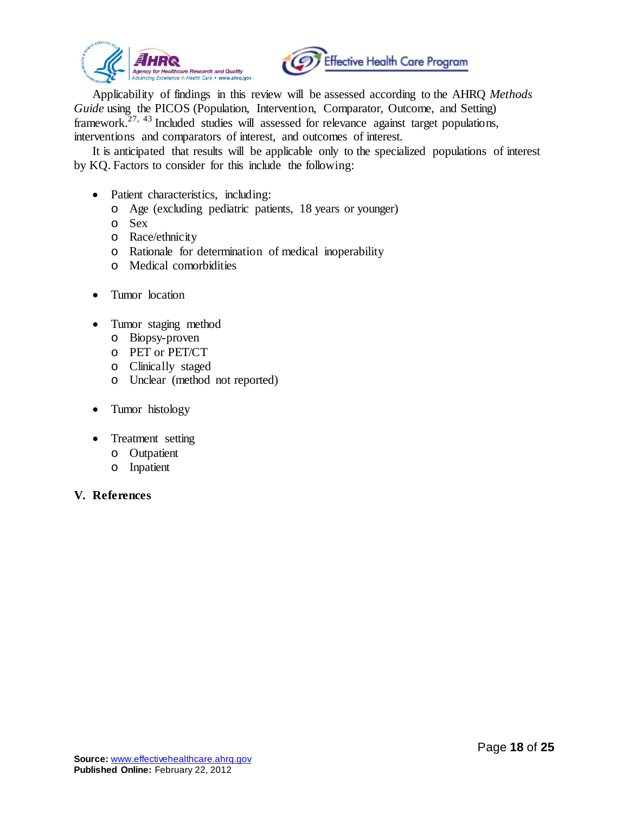



Applicability of findings in this review will be assessed according to the AHRQ *Methods Guide* using the PICOS (Population, Intervention, Comparator, Outcome, and Setting) framework.<sup>[27,](#page-19-9) [43](#page-21-1)</sup> Included studies will assessed for relevance against target populations, interventions and comparators of interest, and outcomes of interest.

It is anticipated that results will be applicable only to the specialized populations of interest by KQ. Factors to consider for this include the following:

- Patient characteristics, including:
	- o Age (excluding pediatric patients, 18 years or younger)
	- o Sex
	- o Race/ethnicity
	- o Rationale for determination of medical inoperability
	- o Medical comorbidities
- Tumor location
- Tumor staging method
	- o Biopsy-proven
	- o PET or PET/CT
	- o Clinically staged
	- o Unclear (method not reported)
- Tumor histology
- Treatment setting
	- o Outpatient
	- o Inpatient

#### **V. References**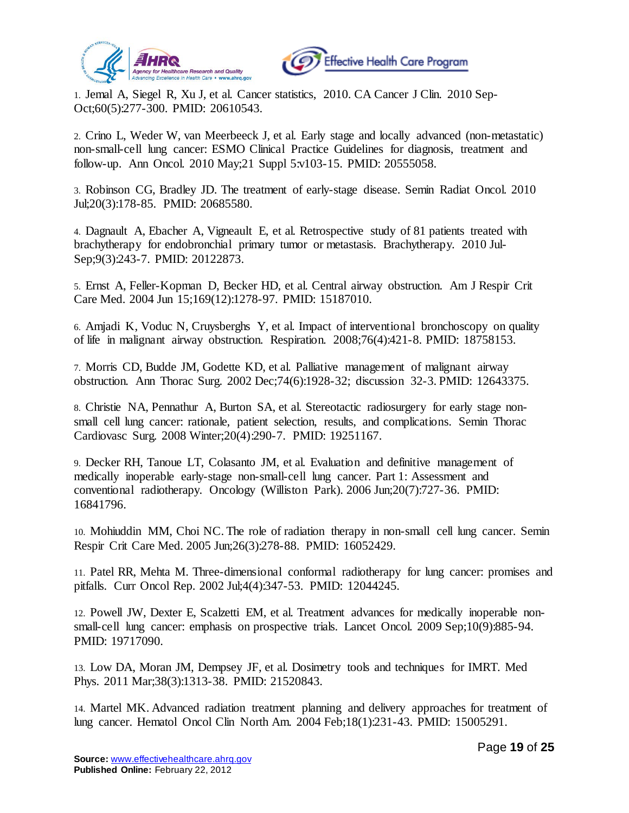



<span id="page-18-0"></span>1. Jemal A, Siegel R, Xu J, et al. Cancer statistics, 2010. CA Cancer J Clin. 2010 Sep-Oct;60(5):277-300. PMID: 20610543.

<span id="page-18-1"></span>2. Crino L, Weder W, van Meerbeeck J, et al. Early stage and locally advanced (non-metastatic) non-small-cell lung cancer: ESMO Clinical Practice Guidelines for diagnosis, treatment and follow-up. Ann Oncol. 2010 May;21 Suppl 5:v103-15. PMID: 20555058.

<span id="page-18-2"></span>3. Robinson CG, Bradley JD. The treatment of early-stage disease. Semin Radiat Oncol. 2010 Jul;20(3):178-85. PMID: 20685580.

<span id="page-18-3"></span>4. Dagnault A, Ebacher A, Vigneault E, et al. Retrospective study of 81 patients treated with brachytherapy for endobronchial primary tumor or metastasis. Brachytherapy. 2010 Jul-Sep;9(3):243-7. PMID: 20122873.

<span id="page-18-4"></span>5. Ernst A, Feller-Kopman D, Becker HD, et al. Central airway obstruction. Am J Respir Crit Care Med. 2004 Jun 15;169(12):1278-97. PMID: 15187010.

<span id="page-18-13"></span>6. Amjadi K, Voduc N, Cruysberghs Y, et al. Impact of interventional bronchoscopy on quality of life in malignant airway obstruction. Respiration. 2008;76(4):421-8. PMID: 18758153.

<span id="page-18-12"></span>7. Morris CD, Budde JM, Godette KD, et al. Palliative management of malignant airway obstruction. Ann Thorac Surg. 2002 Dec;74(6):1928-32; discussion 32-3. PMID: 12643375.

<span id="page-18-5"></span>8. Christie NA, Pennathur A, Burton SA, et al. Stereotactic radiosurgery for early stage nonsmall cell lung cancer: rationale, patient selection, results, and complications. Semin Thorac Cardiovasc Surg. 2008 Winter;20(4):290-7. PMID: 19251167.

<span id="page-18-6"></span>9. Decker RH, Tanoue LT, Colasanto JM, et al. Evaluation and definitive management of medically inoperable early-stage non-small-cell lung cancer. Part 1: Assessment and conventional radiotherapy. Oncology (Williston Park). 2006 Jun;20(7):727-36. PMID: 16841796.

<span id="page-18-7"></span>10. Mohiuddin MM, Choi NC. The role of radiation therapy in non-small cell lung cancer. Semin Respir Crit Care Med. 2005 Jun;26(3):278-88. PMID: 16052429.

<span id="page-18-8"></span>11. Patel RR, Mehta M. Three-dimensional conformal radiotherapy for lung cancer: promises and pitfalls. Curr Oncol Rep. 2002 Jul;4(4):347-53. PMID: 12044245.

<span id="page-18-11"></span>12. Powell JW, Dexter E, Scalzetti EM, et al. Treatment advances for medically inoperable nonsmall-cell lung cancer: emphasis on prospective trials. Lancet Oncol. 2009 Sep;10(9):885-94. PMID: 19717090.

<span id="page-18-9"></span>13. Low DA, Moran JM, Dempsey JF, et al. Dosimetry tools and techniques for IMRT. Med Phys. 2011 Mar;38(3):1313-38. PMID: 21520843.

<span id="page-18-10"></span>14. Martel MK. Advanced radiation treatment planning and delivery approaches for treatment of lung cancer. Hematol Oncol Clin North Am. 2004 Feb;18(1):231-43. PMID: 15005291.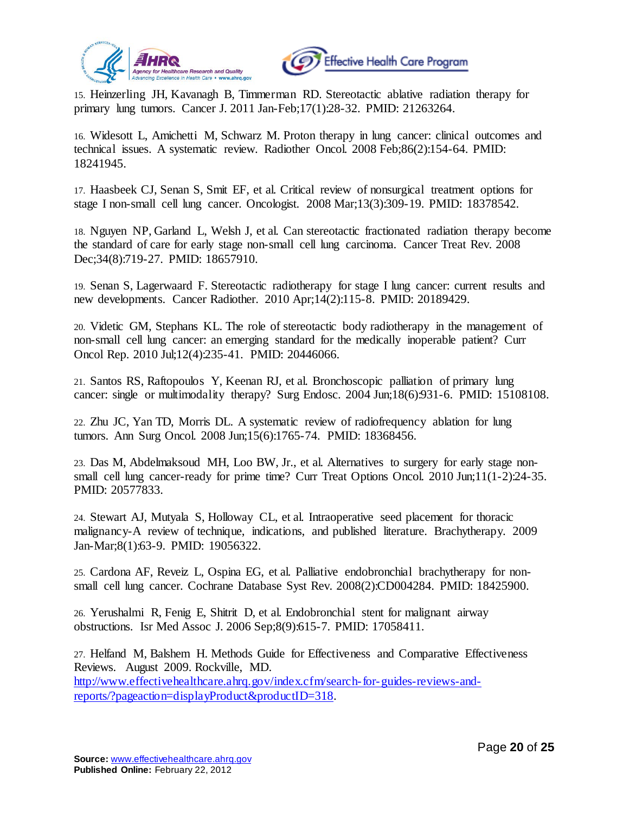



<span id="page-19-0"></span>15. Heinzerling JH, Kavanagh B, Timmerman RD. Stereotactic ablative radiation therapy for primary lung tumors. Cancer J. 2011 Jan-Feb;17(1):28-32. PMID: 21263264.

<span id="page-19-1"></span>16. Widesott L, Amichetti M, Schwarz M. Proton therapy in lung cancer: clinical outcomes and technical issues. A systematic review. Radiother Oncol. 2008 Feb;86(2):154-64. PMID: 18241945.

<span id="page-19-2"></span>17. Haasbeek CJ, Senan S, Smit EF, et al. Critical review of nonsurgical treatment options for stage I non-small cell lung cancer. Oncologist. 2008 Mar;13(3):309-19. PMID: 18378542.

18. Nguyen NP, Garland L, Welsh J, et al. Can stereotactic fractionated radiation therapy become the standard of care for early stage non-small cell lung carcinoma. Cancer Treat Rev. 2008 Dec;34(8):719-27. PMID: 18657910.

19. Senan S, Lagerwaard F. Stereotactic radiotherapy for stage I lung cancer: current results and new developments. Cancer Radiother. 2010 Apr;14(2):115-8. PMID: 20189429.

20. Videtic GM, Stephans KL. The role of stereotactic body radiotherapy in the management of non-small cell lung cancer: an emerging standard for the medically inoperable patient? Curr Oncol Rep. 2010 Jul;12(4):235-41. PMID: 20446066.

<span id="page-19-3"></span>21. Santos RS, Raftopoulos Y, Keenan RJ, et al. Bronchoscopic palliation of primary lung cancer: single or multimodality therapy? Surg Endosc. 2004 Jun;18(6):931-6. PMID: 15108108.

<span id="page-19-4"></span>22. Zhu JC, Yan TD, Morris DL. A systematic review of radiofrequency ablation for lung tumors. Ann Surg Oncol. 2008 Jun;15(6):1765-74. PMID: 18368456.

<span id="page-19-5"></span>23. Das M, Abdelmaksoud MH, Loo BW, Jr., et al. Alternatives to surgery for early stage nonsmall cell lung cancer-ready for prime time? Curr Treat Options Oncol. 2010 Jun;11(1-2):24-35. PMID: 20577833.

<span id="page-19-6"></span>24. Stewart AJ, Mutyala S, Holloway CL, et al. Intraoperative seed placement for thoracic malignancy-A review of technique, indications, and published literature. Brachytherapy. 2009 Jan-Mar;8(1):63-9. PMID: 19056322.

<span id="page-19-7"></span>25. Cardona AF, Reveiz L, Ospina EG, et al. Palliative endobronchial brachytherapy for nonsmall cell lung cancer. Cochrane Database Syst Rev. 2008(2):CD004284. PMID: 18425900.

<span id="page-19-8"></span>26. Yerushalmi R, Fenig E, Shitrit D, et al. Endobronchial stent for malignant airway obstructions. Isr Med Assoc J. 2006 Sep;8(9):615-7. PMID: 17058411.

<span id="page-19-9"></span>27. Helfand M, Balshem H. Methods Guide for Effectiveness and Comparative Effectiveness Reviews. August 2009. Rockville, MD. [http://www.effectivehealthcare.ahrq.gov/index.cfm/search-for-guides-reviews-and](http://www.effectivehealthcare.ahrq.gov/index.cfm/search-for-guides-reviews-and-reports/?pageaction=displayProduct&productID=318)[reports/?pageaction=displayProduct&productID=318.](http://www.effectivehealthcare.ahrq.gov/index.cfm/search-for-guides-reviews-and-reports/?pageaction=displayProduct&productID=318)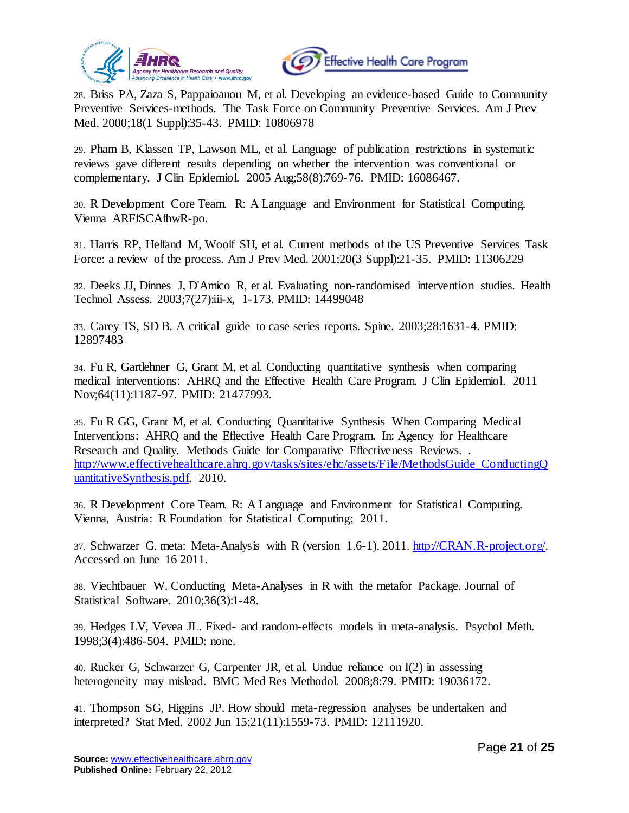



<span id="page-20-0"></span>28. Briss PA, Zaza S, Pappaioanou M, et al. Developing an evidence-based Guide to Community Preventive Services-methods. The Task Force on Community Preventive Services. Am J Prev Med. 2000;18(1 Suppl):35-43. PMID: 10806978

<span id="page-20-1"></span>29. Pham B, Klassen TP, Lawson ML, et al. Language of publication restrictions in systematic reviews gave different results depending on whether the intervention was conventional or complementary. J Clin Epidemiol. 2005 Aug;58(8):769-76. PMID: 16086467.

<span id="page-20-2"></span>30. R Development Core Team. R: A Language and Environment for Statistical Computing. Vienna ARFfSCAfhwR-po.

<span id="page-20-3"></span>31. Harris RP, Helfand M, Woolf SH, et al. Current methods of the US Preventive Services Task Force: a review of the process. Am J Prev Med. 2001;20(3 Suppl):21-35. PMID: 11306229

<span id="page-20-4"></span>32. Deeks JJ, Dinnes J, D'Amico R, et al. Evaluating non-randomised intervention studies. Health Technol Assess. 2003;7(27):iii-x, 1-173. PMID: 14499048

<span id="page-20-5"></span>33. Carey TS, SD B. A critical guide to case series reports. Spine. 2003;28:1631-4. PMID: 12897483

<span id="page-20-6"></span>34. Fu R, Gartlehner G, Grant M, et al. Conducting quantitative synthesis when comparing medical interventions: AHRQ and the Effective Health Care Program. J Clin Epidemiol. 2011 Nov;64(11):1187-97. PMID: 21477993.

<span id="page-20-7"></span>35. Fu R GG, Grant M, et al. Conducting Quantitative Synthesis When Comparing Medical Interventions: AHRQ and the Effective Health Care Program. In: Agency for Healthcare Research and Quality. Methods Guide for Comparative Effectiveness Reviews. . [http://www.effectivehealthcare.ahrq.gov/tasks/sites/ehc/assets/File/MethodsGuide\\_ConductingQ](http://www.effectivehealthcare.ahrq.gov/tasks/sites/ehc/assets/File/MethodsGuide_ConductingQuantitativeSynthesis.pdf) [uantitativeSynthesis.pdf.](http://www.effectivehealthcare.ahrq.gov/tasks/sites/ehc/assets/File/MethodsGuide_ConductingQuantitativeSynthesis.pdf) 2010.

<span id="page-20-8"></span>36. R Development Core Team. R: A Language and Environment for Statistical Computing. Vienna, Austria: R Foundation for Statistical Computing; 2011.

<span id="page-20-9"></span>37. Schwarzer G. meta: Meta-Analysis with R (version 1.6-1). 2011. [http://CRAN.R-project.org/.](http://cran.r-project.org/)  Accessed on June 16 2011.

<span id="page-20-10"></span>38. Viechtbauer W. Conducting Meta-Analyses in R with the metafor Package. Journal of Statistical Software. 2010;36(3):1-48.

<span id="page-20-11"></span>39. Hedges LV, Vevea JL. Fixed- and random-effects models in meta-analysis. Psychol Meth. 1998;3(4):486-504. PMID: none.

<span id="page-20-12"></span>40. Rucker G, Schwarzer G, Carpenter JR, et al. Undue reliance on I(2) in assessing heterogeneity may mislead. BMC Med Res Methodol. 2008;8:79. PMID: 19036172.

<span id="page-20-13"></span>41. Thompson SG, Higgins JP. How should meta-regression analyses be undertaken and interpreted? Stat Med. 2002 Jun 15;21(11):1559-73. PMID: 12111920.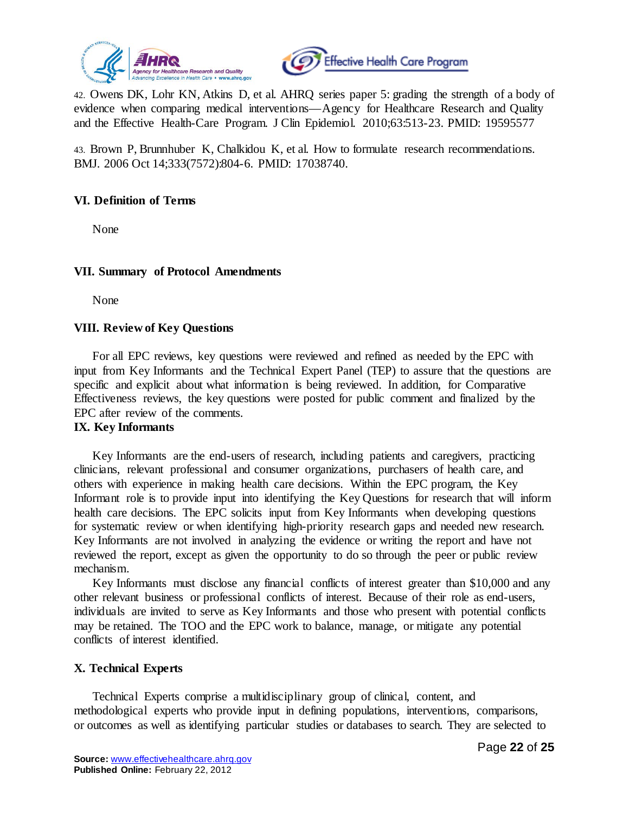



<span id="page-21-0"></span>42. Owens DK, Lohr KN, Atkins D, et al. AHRQ series paper 5: grading the strength of a body of evidence when comparing medical interventions—Agency for Healthcare Research and Quality and the Effective Health-Care Program. J Clin Epidemiol. 2010;63:513-23. PMID: 19595577

<span id="page-21-1"></span>43. Brown P, Brunnhuber K, Chalkidou K, et al. How to formulate research recommendations. BMJ. 2006 Oct 14;333(7572):804-6. PMID: 17038740.

### **VI. Definition of Terms**

None

#### **VII. Summary of Protocol Amendments**

None

### **VIII. Review of Key Questions**

For all EPC reviews, key questions were reviewed and refined as needed by the EPC with input from Key Informants and the Technical Expert Panel (TEP) to assure that the questions are specific and explicit about what information is being reviewed. In addition, for Comparative Effectiveness reviews, the key questions were posted for public comment and finalized by the EPC after review of the comments.

#### **IX. Key Informants**

Key Informants are the end-users of research, including patients and caregivers, practicing clinicians, relevant professional and consumer organizations, purchasers of health care, and others with experience in making health care decisions. Within the EPC program, the Key Informant role is to provide input into identifying the Key Questions for research that will inform health care decisions. The EPC solicits input from Key Informants when developing questions for systematic review or when identifying high-priority research gaps and needed new research. Key Informants are not involved in analyzing the evidence or writing the report and have not reviewed the report, except as given the opportunity to do so through the peer or public review mechanism.

Key Informants must disclose any financial conflicts of interest greater than \$10,000 and any other relevant business or professional conflicts of interest. Because of their role as end-users, individuals are invited to serve as Key Informants and those who present with potential conflicts may be retained. The TOO and the EPC work to balance, manage, or mitigate any potential conflicts of interest identified.

### **X. Technical Experts**

Technical Experts comprise a multidisciplinary group of clinical, content, and methodological experts who provide input in defining populations, interventions, comparisons, or outcomes as well as identifying particular studies or databases to search. They are selected to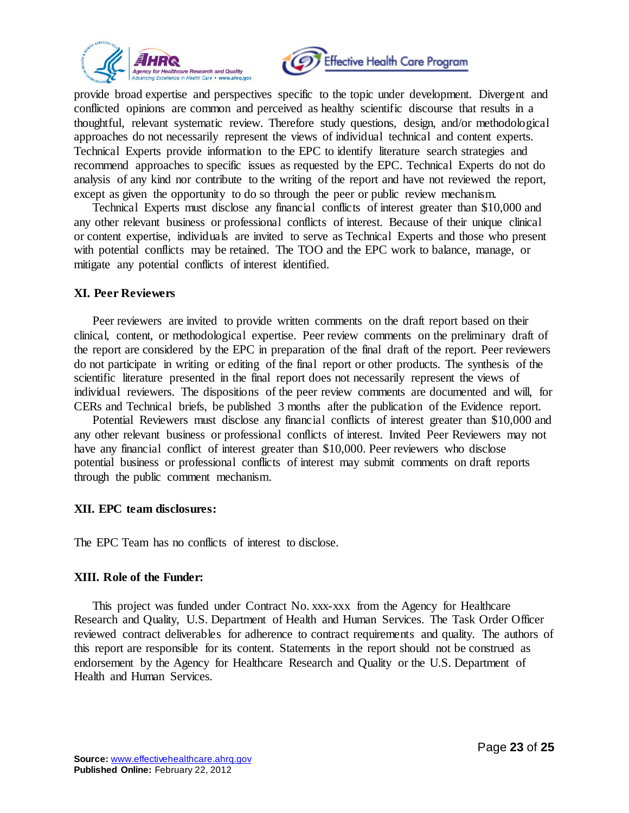



provide broad expertise and perspectives specific to the topic under development. Divergent and conflicted opinions are common and perceived as healthy scientific discourse that results in a thoughtful, relevant systematic review. Therefore study questions, design, and/or methodological approaches do not necessarily represent the views of individual technical and content experts. Technical Experts provide information to the EPC to identify literature search strategies and recommend approaches to specific issues as requested by the EPC. Technical Experts do not do analysis of any kind nor contribute to the writing of the report and have not reviewed the report, except as given the opportunity to do so through the peer or public review mechanism.

Technical Experts must disclose any financial conflicts of interest greater than \$10,000 and any other relevant business or professional conflicts of interest. Because of their unique clinical or content expertise, individuals are invited to serve as Technical Experts and those who present with potential conflicts may be retained. The TOO and the EPC work to balance, manage, or mitigate any potential conflicts of interest identified.

#### **XI. Peer Reviewers**

Peer reviewers are invited to provide written comments on the draft report based on their clinical, content, or methodological expertise. Peer review comments on the preliminary draft of the report are considered by the EPC in preparation of the final draft of the report. Peer reviewers do not participate in writing or editing of the final report or other products. The synthesis of the scientific literature presented in the final report does not necessarily represent the views of individual reviewers. The dispositions of the peer review comments are documented and will, for CERs and Technical briefs, be published 3 months after the publication of the Evidence report.

Potential Reviewers must disclose any financial conflicts of interest greater than \$10,000 and any other relevant business or professional conflicts of interest. Invited Peer Reviewers may not have any financial conflict of interest greater than \$10,000. Peer reviewers who disclose potential business or professional conflicts of interest may submit comments on draft reports through the public comment mechanism.

### **XII. EPC team disclosures:**

The EPC Team has no conflicts of interest to disclose.

### **XIII. Role of the Funder:**

This project was funded under Contract No. xxx-xxx from the Agency for Healthcare Research and Quality, U.S. Department of Health and Human Services. The Task Order Officer reviewed contract deliverables for adherence to contract requirements and quality. The authors of this report are responsible for its content. Statements in the report should not be construed as endorsement by the Agency for Healthcare Research and Quality or the U.S. Department of Health and Human Services.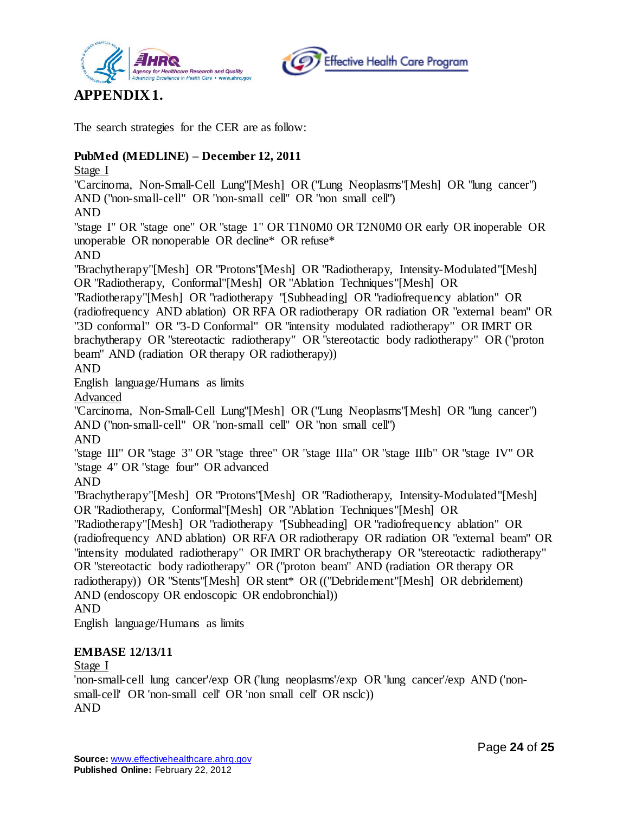



# **APPENDIX 1.**

The search strategies for the CER are as follow:

# **PubMed (MEDLINE) – December 12, 2011**

Stage I

"Carcinoma, Non-Small-Cell Lung"[Mesh] OR ("Lung Neoplasms"[Mesh] OR "lung cancer") AND ("non-small-cell" OR "non-small cell" OR "non small cell")

AND

"stage I" OR "stage one" OR "stage 1" OR T1N0M0 OR T2N0M0 OR early OR inoperable OR unoperable OR nonoperable OR decline\* OR refuse\*

AND

"Brachytherapy"[Mesh] OR "Protons"[Mesh] OR "Radiotherapy, Intensity-Modulated"[Mesh] OR "Radiotherapy, Conformal"[Mesh] OR "Ablation Techniques"[Mesh] OR

"Radiotherapy"[Mesh] OR "radiotherapy "[Subheading] OR "radiofrequency ablation" OR (radiofrequency AND ablation) OR RFA OR radiotherapy OR radiation OR "external beam" OR "3D conformal" OR "3-D Conformal" OR "intensity modulated radiotherapy" OR IMRT OR brachytherapy OR "stereotactic radiotherapy" OR "stereotactic body radiotherapy" OR ("proton beam" AND (radiation OR therapy OR radiotherapy))

AND

English language/Humans as limits

Advanced

"Carcinoma, Non-Small-Cell Lung"[Mesh] OR ("Lung Neoplasms"[Mesh] OR "lung cancer") AND ("non-small-cell" OR "non-small cell" OR "non small cell")

AND

"stage III" OR "stage 3" OR "stage three" OR "stage IIIa" OR "stage IIIb" OR "stage IV" OR "stage 4" OR "stage four" OR advanced

AND

"Brachytherapy"[Mesh] OR "Protons"[Mesh] OR "Radiotherapy, Intensity-Modulated"[Mesh] OR "Radiotherapy, Conformal"[Mesh] OR "Ablation Techniques"[Mesh] OR

"Radiotherapy"[Mesh] OR "radiotherapy "[Subheading] OR "radiofrequency ablation" OR (radiofrequency AND ablation) OR RFA OR radiotherapy OR radiation OR "external beam" OR "intensity modulated radiotherapy" OR IMRT OR brachytherapy OR "stereotactic radiotherapy" OR "stereotactic body radiotherapy" OR ("proton beam" AND (radiation OR therapy OR radiotherapy)) OR "Stents"[Mesh] OR stent\* OR (("Debridement"[Mesh] OR debridement) AND (endoscopy OR endoscopic OR endobronchial))

AND

English language/Humans as limits

# **EMBASE 12/13/11**

Stage I

'non-small-cell lung cancer'/exp OR ('lung neoplasms'/exp OR 'lung cancer'/exp AND ('nonsmall-cell' OR 'non-small cell' OR 'non small cell' OR nsclc)) AND